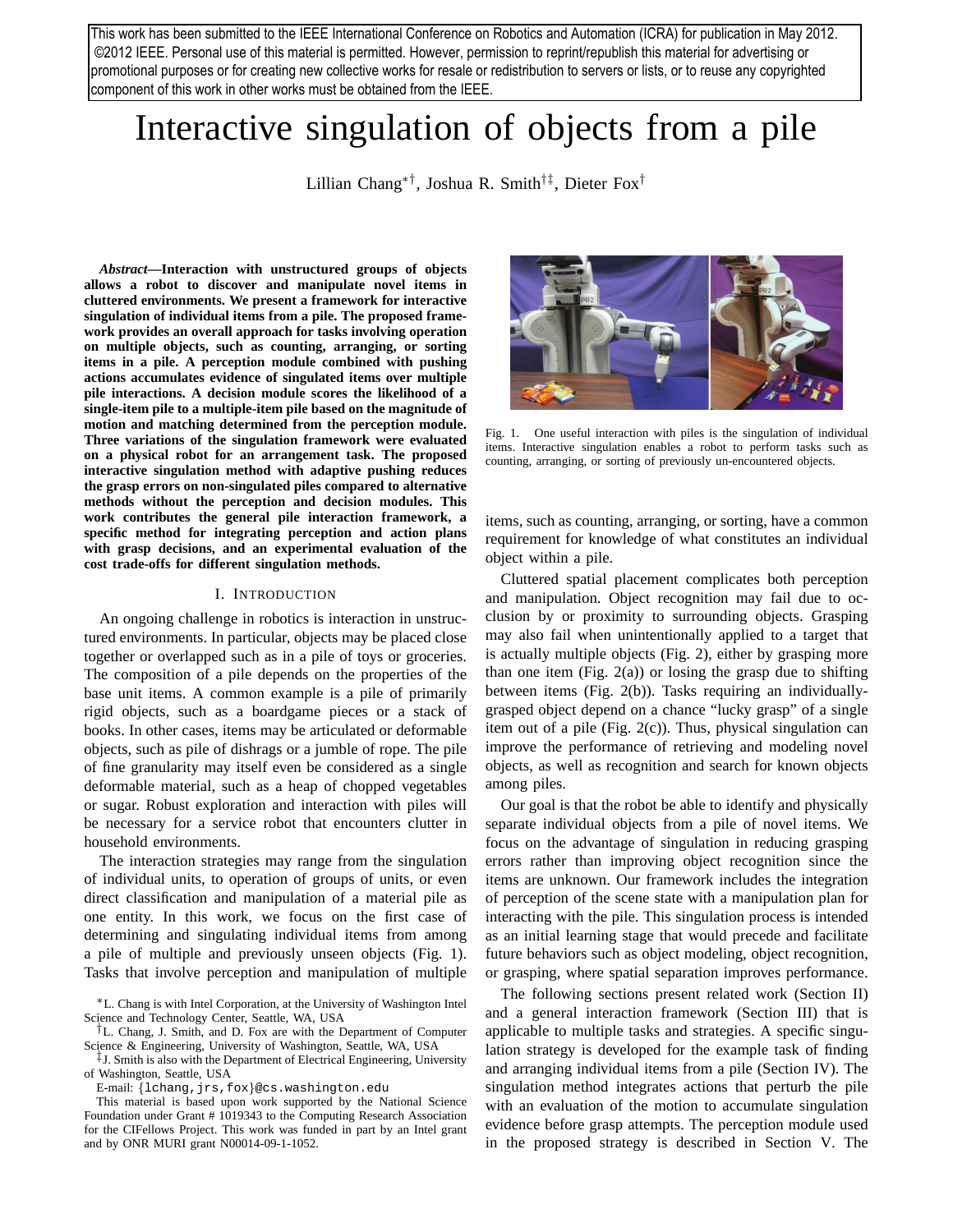This work has been submitted to the IEEE International Conference on Robotics and Automation (ICRA) for publication in May 2012. ©2012 IEEE. Personal use of this material is permitted. However, permission to reprint/republish this material for advertising or promotional purposes or for creating new collective works for resale or redistribution to servers or lists, or to reuse any copyrighted component of this work in other works must be obtained from the IEEE.

# Interactive singulation of objects from a pile

Lillian Chang∗†, Joshua R. Smith†‡, Dieter Fox†

*Abstract***—Interaction with unstructured groups of objects allows a robot to discover and manipulate novel items in cluttered environments. We present a framework for interactive singulation of individual items from a pile. The proposed framework provides an overall approach for tasks involving operation on multiple objects, such as counting, arranging, or sorting items in a pile. A perception module combined with pushing actions accumulates evidence of singulated items over multiple pile interactions. A decision module scores the likelihood of a single-item pile to a multiple-item pile based on the magnitude of motion and matching determined from the perception module. Three variations of the singulation framework were evaluated on a physical robot for an arrangement task. The proposed interactive singulation method with adaptive pushing reduces the grasp errors on non-singulated piles compared to alternative methods without the perception and decision modules. This work contributes the general pile interaction framework, a specific method for integrating perception and action plans with grasp decisions, and an experimental evaluation of the cost trade-offs for different singulation methods.**

## I. INTRODUCTION

An ongoing challenge in robotics is interaction in unstructured environments. In particular, objects may be placed close together or overlapped such as in a pile of toys or groceries. The composition of a pile depends on the properties of the base unit items. A common example is a pile of primarily rigid objects, such as a boardgame pieces or a stack of books. In other cases, items may be articulated or deformable objects, such as pile of dishrags or a jumble of rope. The pile of fine granularity may itself even be considered as a single deformable material, such as a heap of chopped vegetables or sugar. Robust exploration and interaction with piles will be necessary for a service robot that encounters clutter in household environments.

The interaction strategies may range from the singulation of individual units, to operation of groups of units, or even direct classification and manipulation of a material pile as one entity. In this work, we focus on the first case of determining and singulating individual items from among a pile of multiple and previously unseen objects (Fig. 1). Tasks that involve perception and manipulation of multiple

‡J. Smith is also with the Department of Electrical Engineering, University of Washington, Seattle, USA

E-mail: {lchang,jrs,fox}@cs.washington.edu

This material is based upon work supported by the National Science Foundation under Grant # 1019343 to the Computing Research Association for the CIFellows Project. This work was funded in part by an Intel grant and by ONR MURI grant N00014-09-1-1052.



Fig. 1. One useful interaction with piles is the singulation of individual items. Interactive singulation enables a robot to perform tasks such as counting, arranging, or sorting of previously un-encountered objects.

items, such as counting, arranging, or sorting, have a common requirement for knowledge of what constitutes an individual object within a pile.

Cluttered spatial placement complicates both perception and manipulation. Object recognition may fail due to occlusion by or proximity to surrounding objects. Grasping may also fail when unintentionally applied to a target that is actually multiple objects (Fig. 2), either by grasping more than one item (Fig.  $2(a)$ ) or losing the grasp due to shifting between items (Fig. 2(b)). Tasks requiring an individuallygrasped object depend on a chance "lucky grasp" of a single item out of a pile (Fig. 2(c)). Thus, physical singulation can improve the performance of retrieving and modeling novel objects, as well as recognition and search for known objects among piles.

Our goal is that the robot be able to identify and physically separate individual objects from a pile of novel items. We focus on the advantage of singulation in reducing grasping errors rather than improving object recognition since the items are unknown. Our framework includes the integration of perception of the scene state with a manipulation plan for interacting with the pile. This singulation process is intended as an initial learning stage that would precede and facilitate future behaviors such as object modeling, object recognition, or grasping, where spatial separation improves performance.

The following sections present related work (Section II) and a general interaction framework (Section III) that is applicable to multiple tasks and strategies. A specific singulation strategy is developed for the example task of finding and arranging individual items from a pile (Section IV). The singulation method integrates actions that perturb the pile with an evaluation of the motion to accumulate singulation evidence before grasp attempts. The perception module used in the proposed strategy is described in Section V. The

<sup>∗</sup>L. Chang is with Intel Corporation, at the University of Washington Intel Science and Technology Center, Seattle, WA, USA

<sup>†</sup>L. Chang, J. Smith, and D. Fox are with the Department of Computer Science & Engineering, University of Washington, Seattle, WA, USA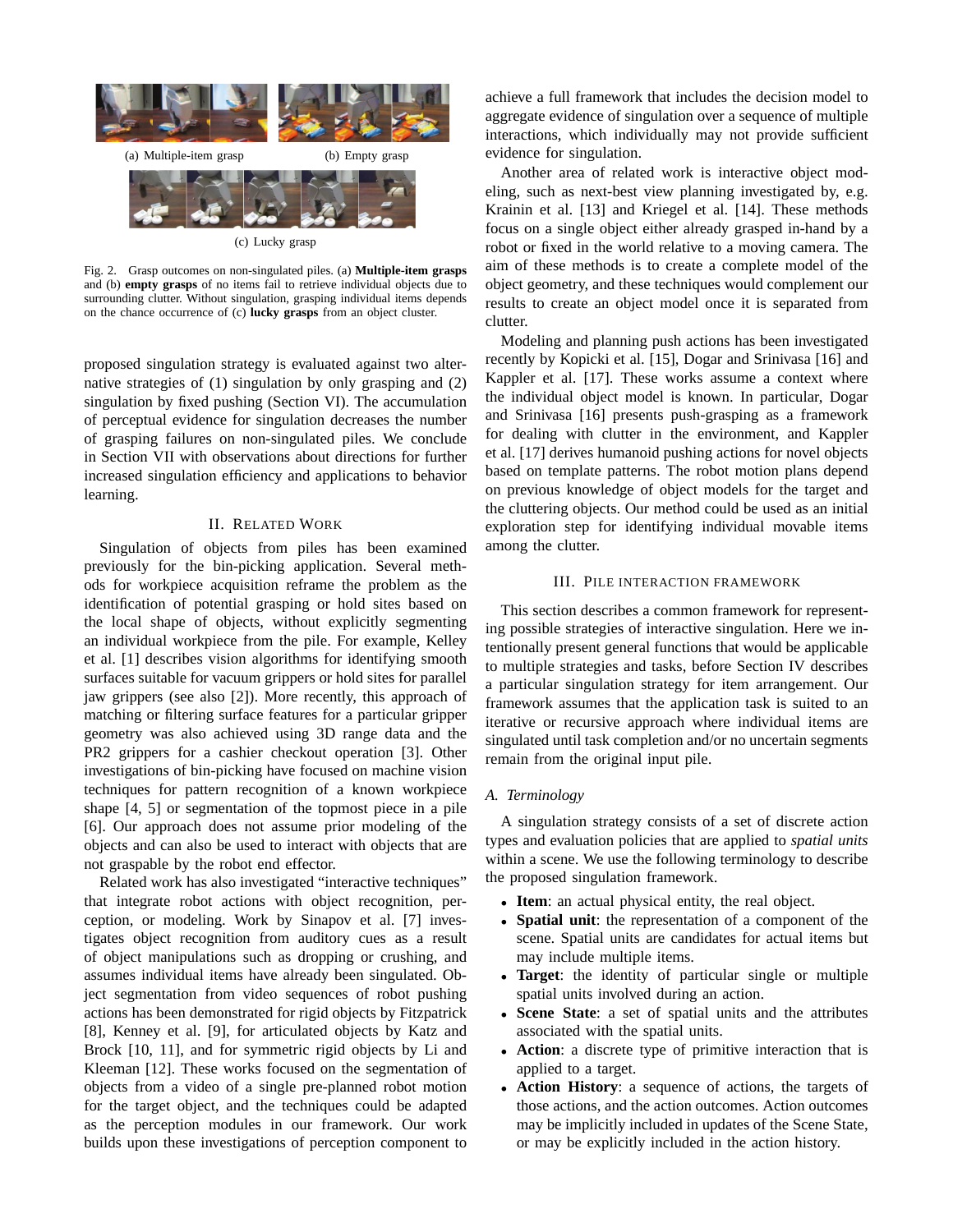

Fig. 2. Grasp outcomes on non-singulated piles. (a) **Multiple-item grasps** and (b) **empty grasps** of no items fail to retrieve individual objects due to surrounding clutter. Without singulation, grasping individual items depends on the chance occurrence of (c) **lucky grasps** from an object cluster.

proposed singulation strategy is evaluated against two alternative strategies of (1) singulation by only grasping and (2) singulation by fixed pushing (Section VI). The accumulation of perceptual evidence for singulation decreases the number of grasping failures on non-singulated piles. We conclude in Section VII with observations about directions for further increased singulation efficiency and applications to behavior learning.

# II. RELATED WORK

Singulation of objects from piles has been examined previously for the bin-picking application. Several methods for workpiece acquisition reframe the problem as the identification of potential grasping or hold sites based on the local shape of objects, without explicitly segmenting an individual workpiece from the pile. For example, Kelley et al. [1] describes vision algorithms for identifying smooth surfaces suitable for vacuum grippers or hold sites for parallel jaw grippers (see also [2]). More recently, this approach of matching or filtering surface features for a particular gripper geometry was also achieved using 3D range data and the PR2 grippers for a cashier checkout operation [3]. Other investigations of bin-picking have focused on machine vision techniques for pattern recognition of a known workpiece shape [4, 5] or segmentation of the topmost piece in a pile [6]. Our approach does not assume prior modeling of the objects and can also be used to interact with objects that are not graspable by the robot end effector.

Related work has also investigated "interactive techniques" that integrate robot actions with object recognition, perception, or modeling. Work by Sinapov et al. [7] investigates object recognition from auditory cues as a result of object manipulations such as dropping or crushing, and assumes individual items have already been singulated. Object segmentation from video sequences of robot pushing actions has been demonstrated for rigid objects by Fitzpatrick [8], Kenney et al. [9], for articulated objects by Katz and Brock [10, 11], and for symmetric rigid objects by Li and Kleeman [12]. These works focused on the segmentation of objects from a video of a single pre-planned robot motion for the target object, and the techniques could be adapted as the perception modules in our framework. Our work builds upon these investigations of perception component to

achieve a full framework that includes the decision model to aggregate evidence of singulation over a sequence of multiple interactions, which individually may not provide sufficient evidence for singulation.

Another area of related work is interactive object modeling, such as next-best view planning investigated by, e.g. Krainin et al. [13] and Kriegel et al. [14]. These methods focus on a single object either already grasped in-hand by a robot or fixed in the world relative to a moving camera. The aim of these methods is to create a complete model of the object geometry, and these techniques would complement our results to create an object model once it is separated from clutter.

Modeling and planning push actions has been investigated recently by Kopicki et al. [15], Dogar and Srinivasa [16] and Kappler et al. [17]. These works assume a context where the individual object model is known. In particular, Dogar and Srinivasa [16] presents push-grasping as a framework for dealing with clutter in the environment, and Kappler et al. [17] derives humanoid pushing actions for novel objects based on template patterns. The robot motion plans depend on previous knowledge of object models for the target and the cluttering objects. Our method could be used as an initial exploration step for identifying individual movable items among the clutter.

# III. PILE INTERACTION FRAMEWORK

This section describes a common framework for representing possible strategies of interactive singulation. Here we intentionally present general functions that would be applicable to multiple strategies and tasks, before Section IV describes a particular singulation strategy for item arrangement. Our framework assumes that the application task is suited to an iterative or recursive approach where individual items are singulated until task completion and/or no uncertain segments remain from the original input pile.

## *A. Terminology*

A singulation strategy consists of a set of discrete action types and evaluation policies that are applied to *spatial units* within a scene. We use the following terminology to describe the proposed singulation framework.

- **Item**: an actual physical entity, the real object.
- **Spatial unit**: the representation of a component of the scene. Spatial units are candidates for actual items but may include multiple items.
- **Target**: the identity of particular single or multiple spatial units involved during an action.
- **Scene State**: a set of spatial units and the attributes associated with the spatial units.
- Action: a discrete type of primitive interaction that is applied to a target.
- **Action History**: a sequence of actions, the targets of those actions, and the action outcomes. Action outcomes may be implicitly included in updates of the Scene State, or may be explicitly included in the action history.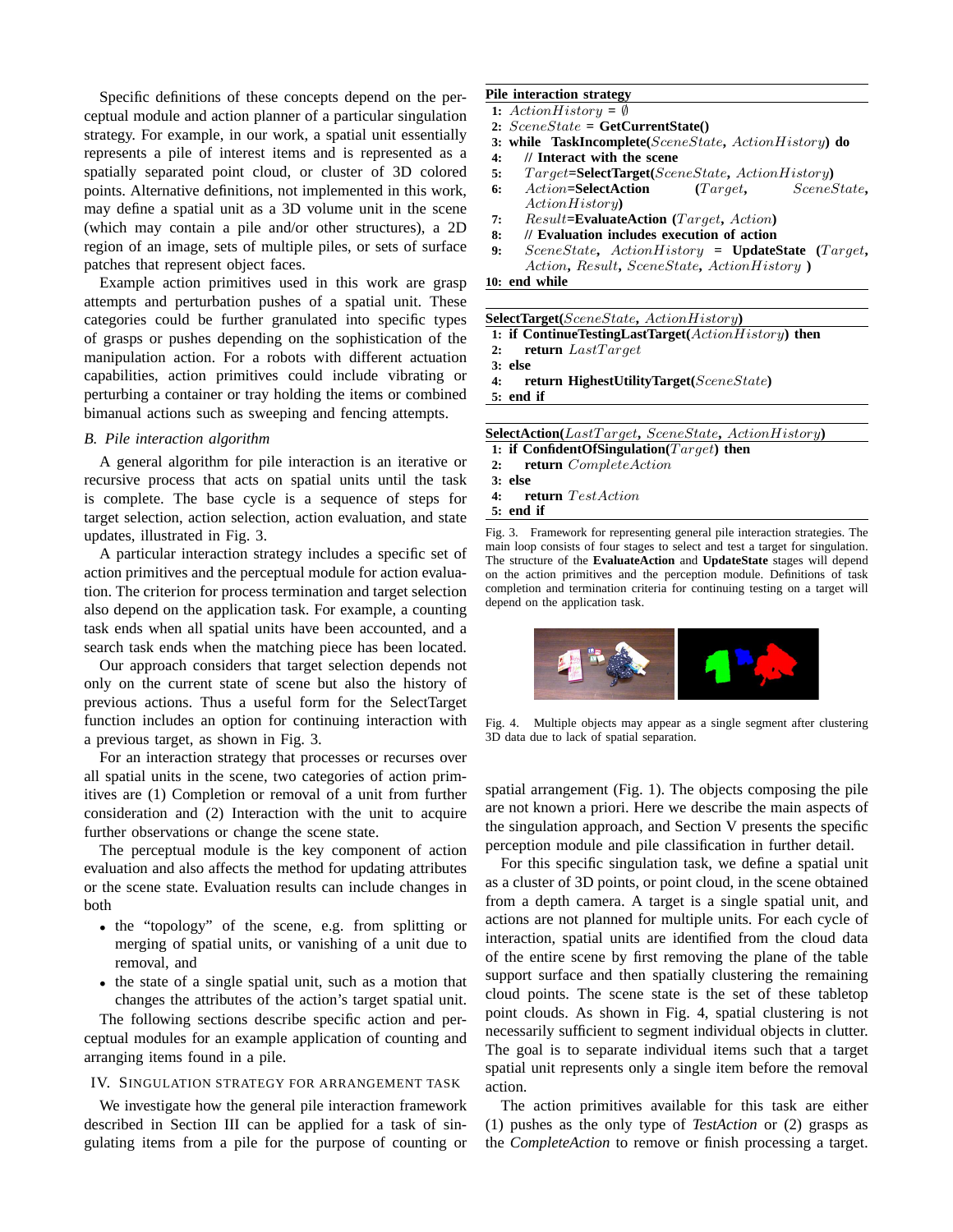Specific definitions of these concepts depend on the perceptual module and action planner of a particular singulation strategy. For example, in our work, a spatial unit essentially represents a pile of interest items and is represented as a spatially separated point cloud, or cluster of 3D colored points. Alternative definitions, not implemented in this work, may define a spatial unit as a 3D volume unit in the scene (which may contain a pile and/or other structures), a 2D region of an image, sets of multiple piles, or sets of surface patches that represent object faces.

Example action primitives used in this work are grasp attempts and perturbation pushes of a spatial unit. These categories could be further granulated into specific types of grasps or pushes depending on the sophistication of the manipulation action. For a robots with different actuation capabilities, action primitives could include vibrating or perturbing a container or tray holding the items or combined bimanual actions such as sweeping and fencing attempts.

## *B. Pile interaction algorithm*

A general algorithm for pile interaction is an iterative or recursive process that acts on spatial units until the task is complete. The base cycle is a sequence of steps for target selection, action selection, action evaluation, and state updates, illustrated in Fig. 3.

A particular interaction strategy includes a specific set of action primitives and the perceptual module for action evaluation. The criterion for process termination and target selection also depend on the application task. For example, a counting task ends when all spatial units have been accounted, and a search task ends when the matching piece has been located.

Our approach considers that target selection depends not only on the current state of scene but also the history of previous actions. Thus a useful form for the SelectTarget function includes an option for continuing interaction with a previous target, as shown in Fig. 3.

For an interaction strategy that processes or recurses over all spatial units in the scene, two categories of action primitives are (1) Completion or removal of a unit from further consideration and (2) Interaction with the unit to acquire further observations or change the scene state.

The perceptual module is the key component of action evaluation and also affects the method for updating attributes or the scene state. Evaluation results can include changes in both

- the "topology" of the scene, e.g. from splitting or merging of spatial units, or vanishing of a unit due to removal, and
- the state of a single spatial unit, such as a motion that changes the attributes of the action's target spatial unit.

The following sections describe specific action and perceptual modules for an example application of counting and arranging items found in a pile.

## IV. SINGULATION STRATEGY FOR ARRANGEMENT TASK

We investigate how the general pile interaction framework described in Section III can be applied for a task of singulating items from a pile for the purpose of counting or

# **Pile interaction strategy**

- **1:**  $ActionHistory = \emptyset$
- **2:** SceneState **= GetCurrentState()**
- **3: while TaskIncomplete(**SceneState**,** ActionHistory**) do**
- **4: // Interact with the scene**
- **5:** T arget**=SelectTarget(**SceneState**,** ActionHistory**)**
- **6:** Action**=SelectAction (**T arget**,** SceneState**,** ActionHistory**)**
- **7:** Result**=EvaluateAction (**T arget**,** Action**)**
- **8: // Evaluation includes execution of action**
- **9:** SceneState**,** ActionHistory **= UpdateState (**T arget**,** Action**,** Result**,** SceneState**,** ActionHistory **)**

**10: end while**

## **SelectTarget(**SceneState**,** ActionHistory**)**

```
1: if ContinueTestingLastTarget(ActionHistory) then
```
- 2: **return** LastTarget
- **3: else**

**4: return HighestUtilityTarget(**SceneState**)**

**5: end if**

|    | $\textbf{SelectAction}(LastTarget, SceneState, ActionHistory)$ |  |
|----|----------------------------------------------------------------|--|
|    | 1: if ConfidentOfSingulation( $Target$ ) then                  |  |
| 2: | <b>return</b> Complete Action                                  |  |

**3: else**

- 4: **return** TestAction
- **5: end if**

Fig. 3. Framework for representing general pile interaction strategies. The main loop consists of four stages to select and test a target for singulation. The structure of the **EvaluateAction** and **UpdateState** stages will depend on the action primitives and the perception module. Definitions of task completion and termination criteria for continuing testing on a target will depend on the application task.



Fig. 4. Multiple objects may appear as a single segment after clustering 3D data due to lack of spatial separation.

spatial arrangement (Fig. 1). The objects composing the pile are not known a priori. Here we describe the main aspects of the singulation approach, and Section V presents the specific perception module and pile classification in further detail.

For this specific singulation task, we define a spatial unit as a cluster of 3D points, or point cloud, in the scene obtained from a depth camera. A target is a single spatial unit, and actions are not planned for multiple units. For each cycle of interaction, spatial units are identified from the cloud data of the entire scene by first removing the plane of the table support surface and then spatially clustering the remaining cloud points. The scene state is the set of these tabletop point clouds. As shown in Fig. 4, spatial clustering is not necessarily sufficient to segment individual objects in clutter. The goal is to separate individual items such that a target spatial unit represents only a single item before the removal action.

The action primitives available for this task are either (1) pushes as the only type of *TestAction* or (2) grasps as the *CompleteAction* to remove or finish processing a target.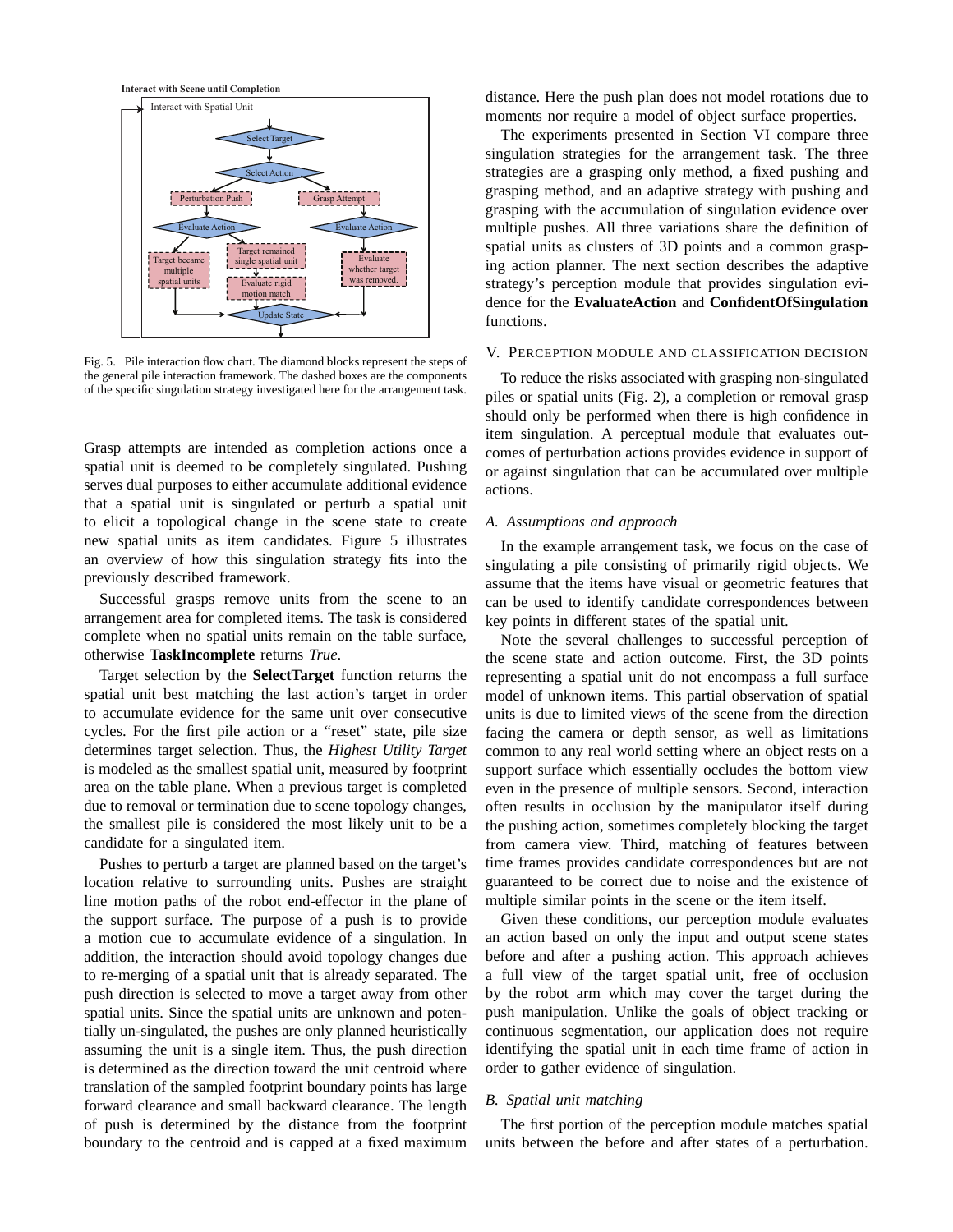

Fig. 5. Pile interaction flow chart. The diamond blocks represent the steps of the general pile interaction framework. The dashed boxes are the components of the specific singulation strategy investigated here for the arrangement task.

Grasp attempts are intended as completion actions once a spatial unit is deemed to be completely singulated. Pushing serves dual purposes to either accumulate additional evidence that a spatial unit is singulated or perturb a spatial unit to elicit a topological change in the scene state to create new spatial units as item candidates. Figure 5 illustrates an overview of how this singulation strategy fits into the previously described framework.

Successful grasps remove units from the scene to an arrangement area for completed items. The task is considered complete when no spatial units remain on the table surface, otherwise **TaskIncomplete** returns *True*.

Target selection by the **SelectTarget** function returns the spatial unit best matching the last action's target in order to accumulate evidence for the same unit over consecutive cycles. For the first pile action or a "reset" state, pile size determines target selection. Thus, the *Highest Utility Target* is modeled as the smallest spatial unit, measured by footprint area on the table plane. When a previous target is completed due to removal or termination due to scene topology changes, the smallest pile is considered the most likely unit to be a candidate for a singulated item.

Pushes to perturb a target are planned based on the target's location relative to surrounding units. Pushes are straight line motion paths of the robot end-effector in the plane of the support surface. The purpose of a push is to provide a motion cue to accumulate evidence of a singulation. In addition, the interaction should avoid topology changes due to re-merging of a spatial unit that is already separated. The push direction is selected to move a target away from other spatial units. Since the spatial units are unknown and potentially un-singulated, the pushes are only planned heuristically assuming the unit is a single item. Thus, the push direction is determined as the direction toward the unit centroid where translation of the sampled footprint boundary points has large forward clearance and small backward clearance. The length of push is determined by the distance from the footprint boundary to the centroid and is capped at a fixed maximum

distance. Here the push plan does not model rotations due to moments nor require a model of object surface properties.

The experiments presented in Section VI compare three singulation strategies for the arrangement task. The three strategies are a grasping only method, a fixed pushing and grasping method, and an adaptive strategy with pushing and grasping with the accumulation of singulation evidence over multiple pushes. All three variations share the definition of spatial units as clusters of 3D points and a common grasping action planner. The next section describes the adaptive strategy's perception module that provides singulation evidence for the **EvaluateAction** and **ConfidentOfSingulation** functions.

## V. PERCEPTION MODULE AND CLASSIFICATION DECISION

To reduce the risks associated with grasping non-singulated piles or spatial units (Fig. 2), a completion or removal grasp should only be performed when there is high confidence in item singulation. A perceptual module that evaluates outcomes of perturbation actions provides evidence in support of or against singulation that can be accumulated over multiple actions.

## *A. Assumptions and approach*

In the example arrangement task, we focus on the case of singulating a pile consisting of primarily rigid objects. We assume that the items have visual or geometric features that can be used to identify candidate correspondences between key points in different states of the spatial unit.

Note the several challenges to successful perception of the scene state and action outcome. First, the 3D points representing a spatial unit do not encompass a full surface model of unknown items. This partial observation of spatial units is due to limited views of the scene from the direction facing the camera or depth sensor, as well as limitations common to any real world setting where an object rests on a support surface which essentially occludes the bottom view even in the presence of multiple sensors. Second, interaction often results in occlusion by the manipulator itself during the pushing action, sometimes completely blocking the target from camera view. Third, matching of features between time frames provides candidate correspondences but are not guaranteed to be correct due to noise and the existence of multiple similar points in the scene or the item itself.

Given these conditions, our perception module evaluates an action based on only the input and output scene states before and after a pushing action. This approach achieves a full view of the target spatial unit, free of occlusion by the robot arm which may cover the target during the push manipulation. Unlike the goals of object tracking or continuous segmentation, our application does not require identifying the spatial unit in each time frame of action in order to gather evidence of singulation.

## *B. Spatial unit matching*

The first portion of the perception module matches spatial units between the before and after states of a perturbation.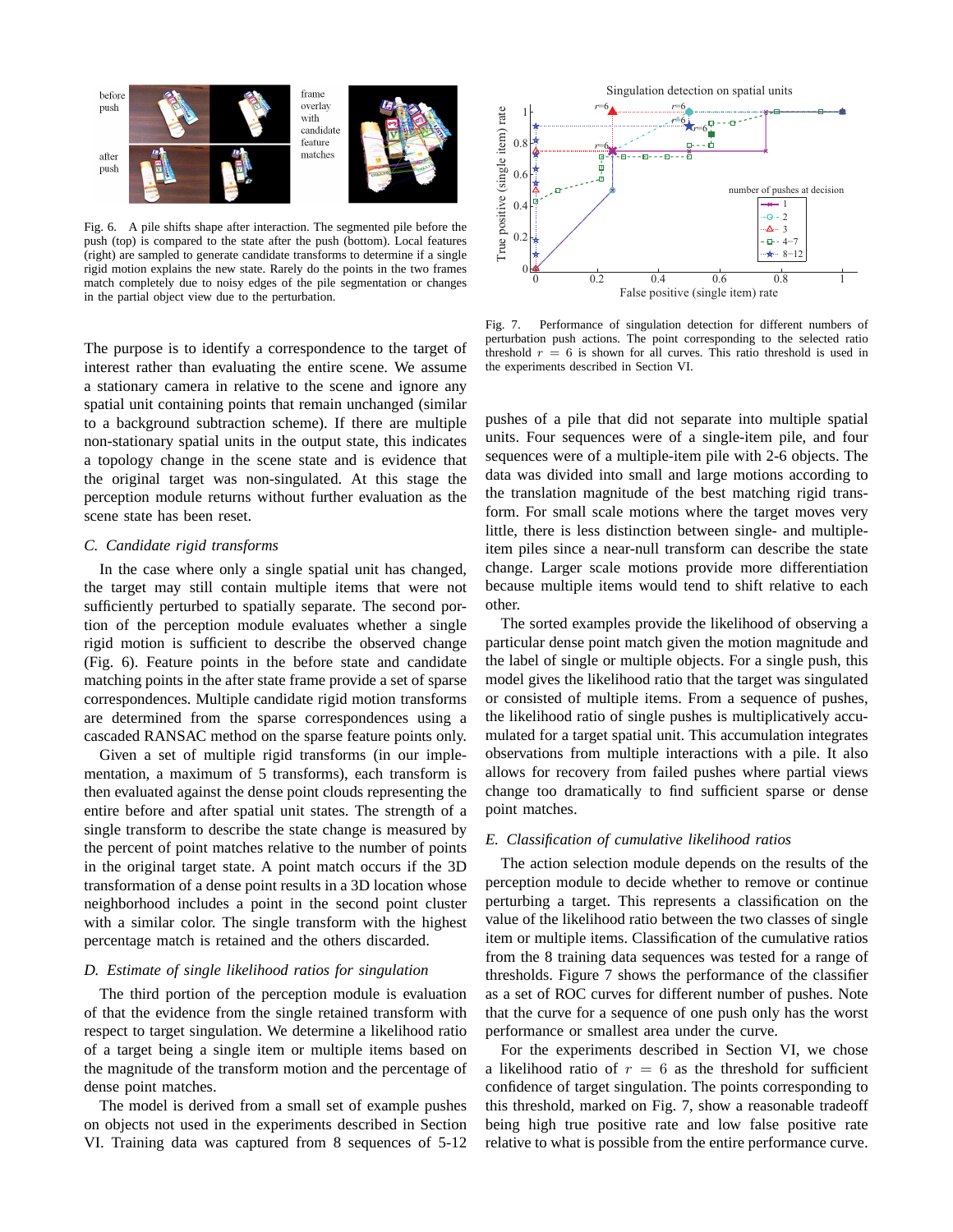

Fig. 6. A pile shifts shape after interaction. The segmented pile before the push (top) is compared to the state after the push (bottom). Local features (right) are sampled to generate candidate transforms to determine if a single rigid motion explains the new state. Rarely do the points in the two frames match completely due to noisy edges of the pile segmentation or changes in the partial object view due to the perturbation.

The purpose is to identify a correspondence to the target of interest rather than evaluating the entire scene. We assume a stationary camera in relative to the scene and ignore any spatial unit containing points that remain unchanged (similar to a background subtraction scheme). If there are multiple non-stationary spatial units in the output state, this indicates a topology change in the scene state and is evidence that the original target was non-singulated. At this stage the perception module returns without further evaluation as the scene state has been reset.

## *C. Candidate rigid transforms*

In the case where only a single spatial unit has changed, the target may still contain multiple items that were not sufficiently perturbed to spatially separate. The second portion of the perception module evaluates whether a single rigid motion is sufficient to describe the observed change (Fig. 6). Feature points in the before state and candidate matching points in the after state frame provide a set of sparse correspondences. Multiple candidate rigid motion transforms are determined from the sparse correspondences using a cascaded RANSAC method on the sparse feature points only.

Given a set of multiple rigid transforms (in our implementation, a maximum of 5 transforms), each transform is then evaluated against the dense point clouds representing the entire before and after spatial unit states. The strength of a single transform to describe the state change is measured by the percent of point matches relative to the number of points in the original target state. A point match occurs if the 3D transformation of a dense point results in a 3D location whose neighborhood includes a point in the second point cluster with a similar color. The single transform with the highest percentage match is retained and the others discarded.

# *D. Estimate of single likelihood ratios for singulation*

The third portion of the perception module is evaluation of that the evidence from the single retained transform with respect to target singulation. We determine a likelihood ratio of a target being a single item or multiple items based on the magnitude of the transform motion and the percentage of dense point matches.

The model is derived from a small set of example pushes on objects not used in the experiments described in Section VI. Training data was captured from 8 sequences of 5-12



Fig. 7. Performance of singulation detection for different numbers of perturbation push actions. The point corresponding to the selected ratio threshold  $r = 6$  is shown for all curves. This ratio threshold is used in the experiments described in Section VI.

pushes of a pile that did not separate into multiple spatial units. Four sequences were of a single-item pile, and four sequences were of a multiple-item pile with 2-6 objects. The data was divided into small and large motions according to the translation magnitude of the best matching rigid transform. For small scale motions where the target moves very little, there is less distinction between single- and multipleitem piles since a near-null transform can describe the state change. Larger scale motions provide more differentiation because multiple items would tend to shift relative to each other.

The sorted examples provide the likelihood of observing a particular dense point match given the motion magnitude and the label of single or multiple objects. For a single push, this model gives the likelihood ratio that the target was singulated or consisted of multiple items. From a sequence of pushes, the likelihood ratio of single pushes is multiplicatively accumulated for a target spatial unit. This accumulation integrates observations from multiple interactions with a pile. It also allows for recovery from failed pushes where partial views change too dramatically to find sufficient sparse or dense point matches.

## *E. Classification of cumulative likelihood ratios*

The action selection module depends on the results of the perception module to decide whether to remove or continue perturbing a target. This represents a classification on the value of the likelihood ratio between the two classes of single item or multiple items. Classification of the cumulative ratios from the 8 training data sequences was tested for a range of thresholds. Figure 7 shows the performance of the classifier as a set of ROC curves for different number of pushes. Note that the curve for a sequence of one push only has the worst performance or smallest area under the curve.

For the experiments described in Section VI, we chose a likelihood ratio of  $r = 6$  as the threshold for sufficient confidence of target singulation. The points corresponding to this threshold, marked on Fig. 7, show a reasonable tradeoff being high true positive rate and low false positive rate relative to what is possible from the entire performance curve.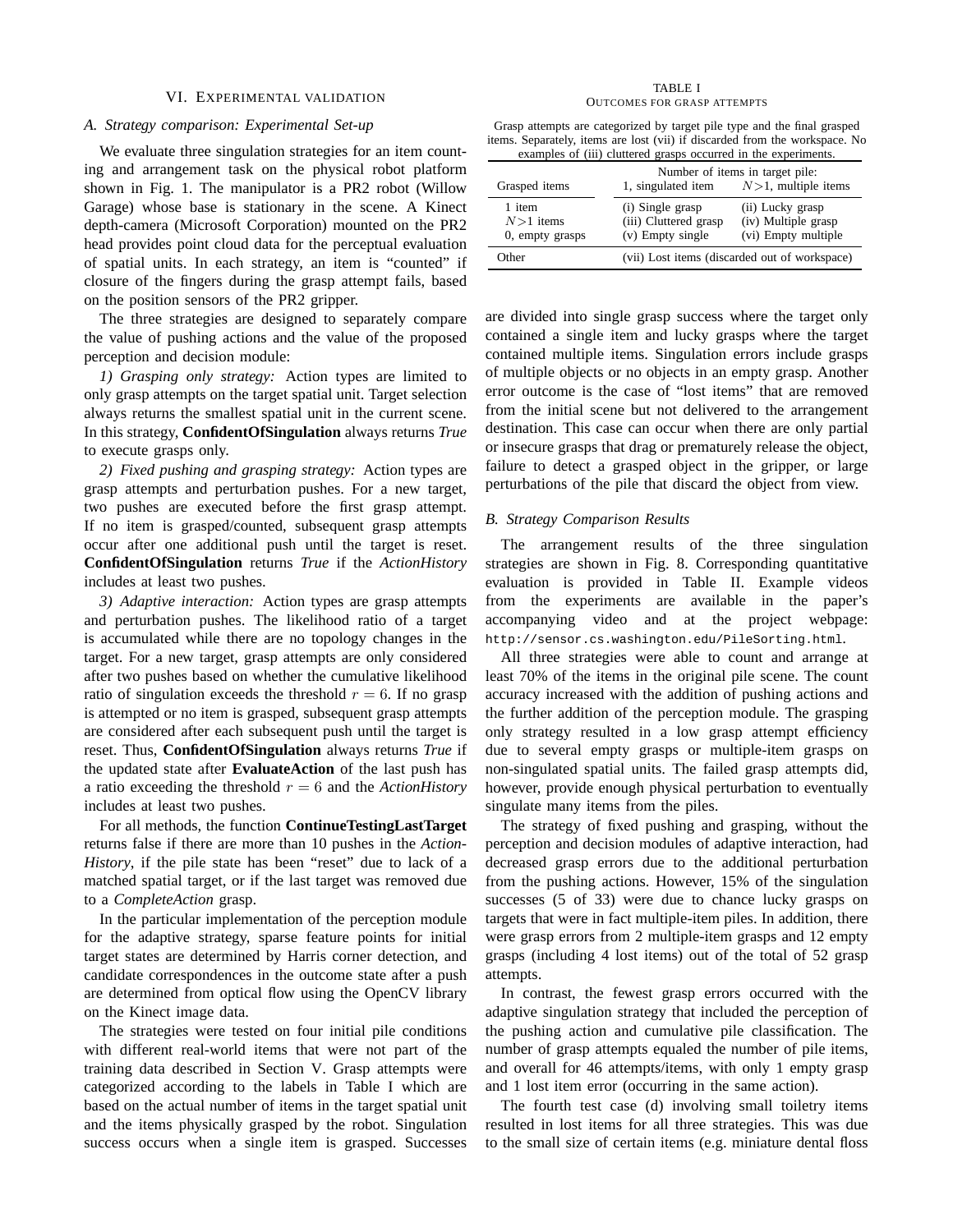## VI. EXPERIMENTAL VALIDATION

## *A. Strategy comparison: Experimental Set-up*

We evaluate three singulation strategies for an item counting and arrangement task on the physical robot platform shown in Fig. 1. The manipulator is a PR2 robot (Willow Garage) whose base is stationary in the scene. A Kinect depth-camera (Microsoft Corporation) mounted on the PR2 head provides point cloud data for the perceptual evaluation of spatial units. In each strategy, an item is "counted" if closure of the fingers during the grasp attempt fails, based on the position sensors of the PR2 gripper.

The three strategies are designed to separately compare the value of pushing actions and the value of the proposed perception and decision module:

*1) Grasping only strategy:* Action types are limited to only grasp attempts on the target spatial unit. Target selection always returns the smallest spatial unit in the current scene. In this strategy, **ConfidentOfSingulation** always returns *True* to execute grasps only.

*2) Fixed pushing and grasping strategy:* Action types are grasp attempts and perturbation pushes. For a new target, two pushes are executed before the first grasp attempt. If no item is grasped/counted, subsequent grasp attempts occur after one additional push until the target is reset. **ConfidentOfSingulation** returns *True* if the *ActionHistory* includes at least two pushes.

*3) Adaptive interaction:* Action types are grasp attempts and perturbation pushes. The likelihood ratio of a target is accumulated while there are no topology changes in the target. For a new target, grasp attempts are only considered after two pushes based on whether the cumulative likelihood ratio of singulation exceeds the threshold  $r = 6$ . If no grasp is attempted or no item is grasped, subsequent grasp attempts are considered after each subsequent push until the target is reset. Thus, **ConfidentOfSingulation** always returns *True* if the updated state after **EvaluateAction** of the last push has a ratio exceeding the threshold  $r = 6$  and the *ActionHistory* includes at least two pushes.

For all methods, the function **ContinueTestingLastTarget** returns false if there are more than 10 pushes in the *Action-History*, if the pile state has been "reset" due to lack of a matched spatial target, or if the last target was removed due to a *CompleteAction* grasp.

In the particular implementation of the perception module for the adaptive strategy, sparse feature points for initial target states are determined by Harris corner detection, and candidate correspondences in the outcome state after a push are determined from optical flow using the OpenCV library on the Kinect image data.

The strategies were tested on four initial pile conditions with different real-world items that were not part of the training data described in Section V. Grasp attempts were categorized according to the labels in Table I which are based on the actual number of items in the target spatial unit and the items physically grasped by the robot. Singulation success occurs when a single item is grasped. Successes

#### TABLE I OUTCOMES FOR GRASP ATTEMPTS

Grasp attempts are categorized by target pile type and the final grasped items. Separately, items are lost (vii) if discarded from the workspace. No examples of (iii) cluttered grasps occurred in the experiments.

| Grasped items                            | Number of items in target pile:<br>$N>1$ , multiple items<br>1, singulated item |                                                                |  |  |  |  |  |  |
|------------------------------------------|---------------------------------------------------------------------------------|----------------------------------------------------------------|--|--|--|--|--|--|
| 1 item<br>$N>1$ items<br>0, empty grasps | (i) Single grasp<br>(iii) Cluttered grasp<br>(v) Empty single                   | (ii) Lucky grasp<br>(iv) Multiple grasp<br>(vi) Empty multiple |  |  |  |  |  |  |
| Other                                    | (vii) Lost items (discarded out of workspace)                                   |                                                                |  |  |  |  |  |  |

are divided into single grasp success where the target only contained a single item and lucky grasps where the target contained multiple items. Singulation errors include grasps of multiple objects or no objects in an empty grasp. Another error outcome is the case of "lost items" that are removed from the initial scene but not delivered to the arrangement destination. This case can occur when there are only partial or insecure grasps that drag or prematurely release the object, failure to detect a grasped object in the gripper, or large perturbations of the pile that discard the object from view.

# *B. Strategy Comparison Results*

The arrangement results of the three singulation strategies are shown in Fig. 8. Corresponding quantitative evaluation is provided in Table II. Example videos from the experiments are available in the paper's accompanying video and at the project webpage: http://sensor.cs.washington.edu/PileSorting.html.

All three strategies were able to count and arrange at least 70% of the items in the original pile scene. The count accuracy increased with the addition of pushing actions and the further addition of the perception module. The grasping only strategy resulted in a low grasp attempt efficiency due to several empty grasps or multiple-item grasps on non-singulated spatial units. The failed grasp attempts did, however, provide enough physical perturbation to eventually singulate many items from the piles.

The strategy of fixed pushing and grasping, without the perception and decision modules of adaptive interaction, had decreased grasp errors due to the additional perturbation from the pushing actions. However, 15% of the singulation successes (5 of 33) were due to chance lucky grasps on targets that were in fact multiple-item piles. In addition, there were grasp errors from 2 multiple-item grasps and 12 empty grasps (including 4 lost items) out of the total of 52 grasp attempts.

In contrast, the fewest grasp errors occurred with the adaptive singulation strategy that included the perception of the pushing action and cumulative pile classification. The number of grasp attempts equaled the number of pile items, and overall for 46 attempts/items, with only 1 empty grasp and 1 lost item error (occurring in the same action).

The fourth test case (d) involving small toiletry items resulted in lost items for all three strategies. This was due to the small size of certain items (e.g. miniature dental floss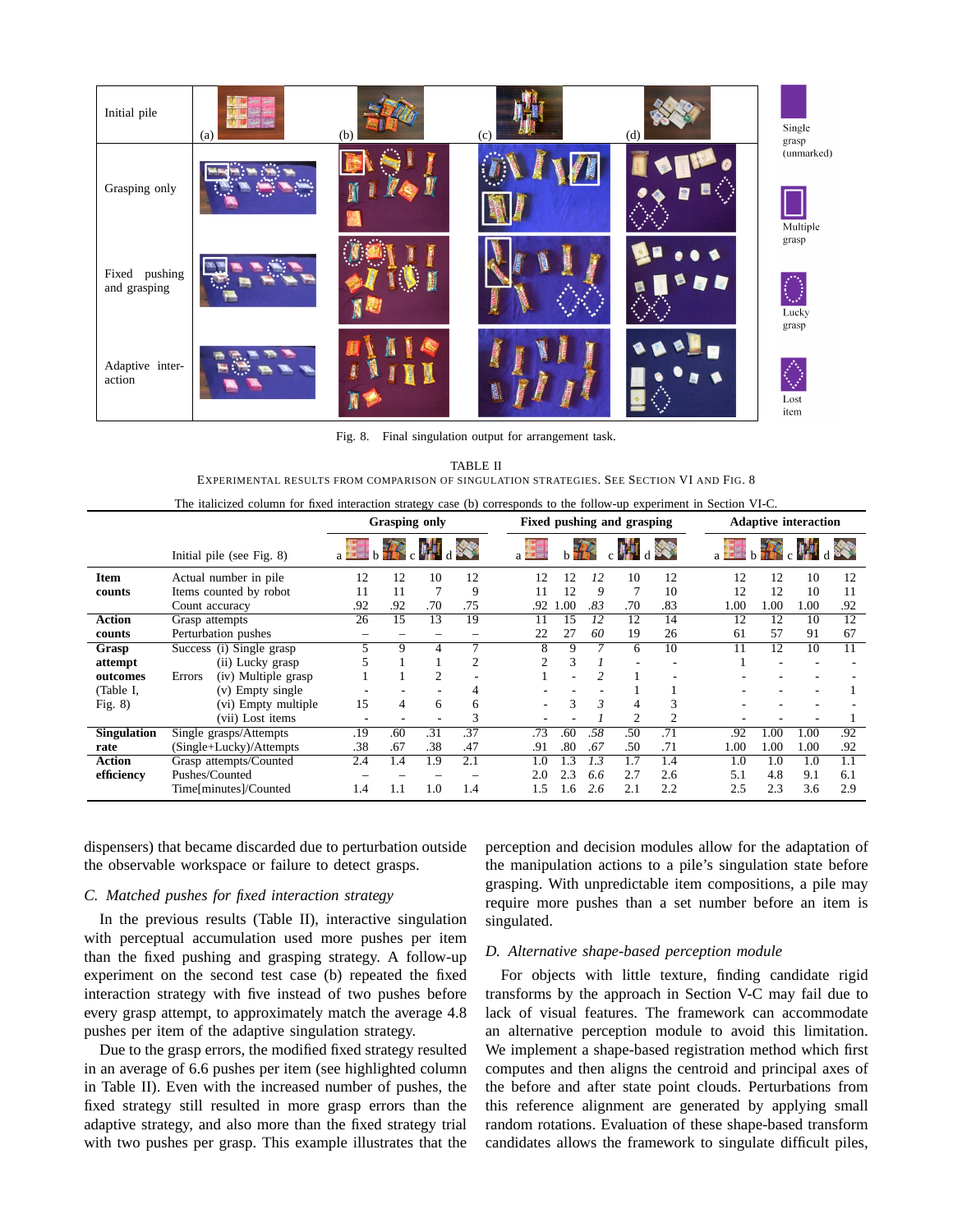

Fig. 8. Final singulation output for arrangement task.

| <b>TABLE II</b>                                                                           |  |
|-------------------------------------------------------------------------------------------|--|
| Experimental results from comparison of singulation strategies. See Section VI and Fig. 8 |  |

| The italicized column for fixed interaction strategy case (b) corresponds to the follow-up experiment in Section VI-C. |  |  |
|------------------------------------------------------------------------------------------------------------------------|--|--|
|                                                                                                                        |  |  |

|                    |                               | <b>Grasping only</b>     |     |                |                | Fixed pushing and grasping |               |                |                |                | <b>Adaptive interaction</b> |                   |          |     |  |
|--------------------|-------------------------------|--------------------------|-----|----------------|----------------|----------------------------|---------------|----------------|----------------|----------------|-----------------------------|-------------------|----------|-----|--|
|                    | Initial pile (see Fig. 8)     |                          |     | <b>Fili</b>    |                |                            |               |                | H              |                |                             |                   | <b>N</b> |     |  |
| <b>Item</b>        | Actual number in pile         | 12                       | 12  | 10             | 12             | 12                         | 12            | 12             | 10             | 12             | 12                          | 12                | 10       | 12  |  |
| counts             | Items counted by robot        | 11                       | 11  |                | 9              |                            | 12            | 9              | $\overline{7}$ | 10             | 12                          | 12                | 10       | 11  |  |
|                    | Count accuracy                | .92                      | .92 | .70            | .75            | .92                        | 1.00          | .83            | .70            | .83            | 1.00                        | 1.00              | 1.00     | .92 |  |
| <b>Action</b>      | Grasp attempts                | 26                       | 15  | 13             | 19             | 11                         | 15            | 12             | 12             | 14             | 12                          | 12                | 10       | 12  |  |
| counts             | Perturbation pushes           |                          |     |                |                | 22                         | 27            | 60             | 19             | 26             | 61                          | 57                | 91       | 67  |  |
| Grasp              | Success (i) Single grasp      | $\overline{\phantom{0}}$ | 9   | 4              | 7              | 8                          | 9             | 7              | 6              | 10             | 11                          | 12                | 10       | 11  |  |
| attempt            | (ii) Lucky grasp              | 5                        |     |                | $\overline{2}$ | 2                          | 3             |                |                |                |                             |                   |          |     |  |
| outcomes           | (iv) Multiple grasp<br>Errors |                          |     | $\overline{c}$ |                |                            |               | $\mathfrak{D}$ |                |                |                             |                   |          |     |  |
| (Table I.          | (v) Empty single              |                          |     |                |                |                            |               |                |                |                |                             |                   |          |     |  |
| Fig. $8$ )         | (vi) Empty multiple           | 15                       | 4   | 6              | 6              |                            | 3             | $\mathfrak{Z}$ | 4              | 3              |                             |                   |          |     |  |
|                    | (vii) Lost items              |                          |     |                | 3              |                            |               |                | $\overline{c}$ | $\overline{c}$ |                             |                   |          |     |  |
| <b>Singulation</b> | Single grasps/Attempts        | .19                      | .60 | .31            | .37            | .73                        | .60           | .58            | .50            | .71            | .92                         | $\overline{1.00}$ | .00.     | .92 |  |
| rate               | (Single+Lucky)/Attempts       | .38                      | .67 | .38            | .47            | .91                        | .80           | .67            | .50            | .71            | 1.00                        | 1.00              | 1.00     | .92 |  |
| <b>Action</b>      | Grasp attempts/Counted        | 2.4                      | 1.4 | 1.9            | 2.1            | 1.0                        | $\mathcal{R}$ | 1.3            | 1.7            | 1.4            | 1.0                         | 1.0               | 1.0      | 1.1 |  |
| efficiency         | Pushes/Counted                |                          |     |                |                | 2.0                        | 2.3           | 6.6            | 2.7            | 2.6            | 5.1                         | 4.8               | 9.1      | 6.1 |  |
|                    | Time[minutes]/Counted         | 1.4                      | 1.1 | 1.0            | 1.4            | 1.5                        | .6            | 2.6            | 2.1            | 2.2            | 2.5                         | 2.3               | 3.6      | 2.9 |  |

dispensers) that became discarded due to perturbation outside the observable workspace or failure to detect grasps.

# *C. Matched pushes for fixed interaction strategy*

In the previous results (Table II), interactive singulation with perceptual accumulation used more pushes per item than the fixed pushing and grasping strategy. A follow-up experiment on the second test case (b) repeated the fixed interaction strategy with five instead of two pushes before every grasp attempt, to approximately match the average 4.8 pushes per item of the adaptive singulation strategy.

Due to the grasp errors, the modified fixed strategy resulted in an average of 6.6 pushes per item (see highlighted column in Table II). Even with the increased number of pushes, the fixed strategy still resulted in more grasp errors than the adaptive strategy, and also more than the fixed strategy trial with two pushes per grasp. This example illustrates that the perception and decision modules allow for the adaptation of the manipulation actions to a pile's singulation state before grasping. With unpredictable item compositions, a pile may require more pushes than a set number before an item is singulated.

# *D. Alternative shape-based perception module*

For objects with little texture, finding candidate rigid transforms by the approach in Section V-C may fail due to lack of visual features. The framework can accommodate an alternative perception module to avoid this limitation. We implement a shape-based registration method which first computes and then aligns the centroid and principal axes of the before and after state point clouds. Perturbations from this reference alignment are generated by applying small random rotations. Evaluation of these shape-based transform candidates allows the framework to singulate difficult piles,